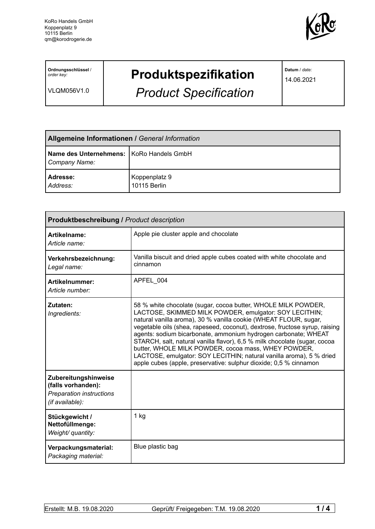

**Ordnungsschlüssel** / *order key:*

VLQM056V1.0

## **Produktspezifikation**

*Product Specification*

**Datum** / *date:*

14.06.2021

| <b>Allgemeine Informationen / General Information</b>       |                               |  |
|-------------------------------------------------------------|-------------------------------|--|
| Name des Unternehmens:   KoRo Handels GmbH<br>Company Name: |                               |  |
| Adresse:<br>Address:                                        | Koppenplatz 9<br>10115 Berlin |  |

| <b>Produktbeschreibung / Product description</b>                                                 |                                                                                                                                                                                                                                                                                                                                                                                                                                                                                                                                                                                                                              |  |
|--------------------------------------------------------------------------------------------------|------------------------------------------------------------------------------------------------------------------------------------------------------------------------------------------------------------------------------------------------------------------------------------------------------------------------------------------------------------------------------------------------------------------------------------------------------------------------------------------------------------------------------------------------------------------------------------------------------------------------------|--|
| Artikelname:<br>Article name:                                                                    | Apple pie cluster apple and chocolate                                                                                                                                                                                                                                                                                                                                                                                                                                                                                                                                                                                        |  |
| Verkehrsbezeichnung:<br>Legal name:                                                              | Vanilla biscuit and dried apple cubes coated with white chocolate and<br>cinnamon                                                                                                                                                                                                                                                                                                                                                                                                                                                                                                                                            |  |
| Artikelnummer:<br>Article number:                                                                | APFEL 004                                                                                                                                                                                                                                                                                                                                                                                                                                                                                                                                                                                                                    |  |
| Zutaten:<br>Ingredients:                                                                         | 58 % white chocolate (sugar, cocoa butter, WHOLE MILK POWDER,<br>LACTOSE, SKIMMED MILK POWDER, emulgator: SOY LECITHIN;<br>natural vanilla aroma), 30 % vanilla cookie (WHEAT FLOUR, sugar,<br>vegetable oils (shea, rapeseed, coconut), dextrose, fructose syrup, raising<br>agents: sodium bicarbonate, ammonium hydrogen carbonate; WHEAT<br>STARCH, salt, natural vanilla flavor), 6,5 % milk chocolate (sugar, cocoa<br>butter, WHOLE MILK POWDER, cocoa mass, WHEY POWDER,<br>LACTOSE, emulgator: SOY LECITHIN; natural vanilla aroma), 5 % dried<br>apple cubes (apple, preservative: sulphur dioxide; 0,5 % cinnamon |  |
| Zubereitungshinweise<br>(falls vorhanden):<br><b>Preparation instructions</b><br>(if available): |                                                                                                                                                                                                                                                                                                                                                                                                                                                                                                                                                                                                                              |  |
| Stückgewicht /<br>Nettofüllmenge:<br>Weight/ quantity:                                           | 1 kg                                                                                                                                                                                                                                                                                                                                                                                                                                                                                                                                                                                                                         |  |
| Verpackungsmaterial:<br>Packaging material:                                                      | Blue plastic bag                                                                                                                                                                                                                                                                                                                                                                                                                                                                                                                                                                                                             |  |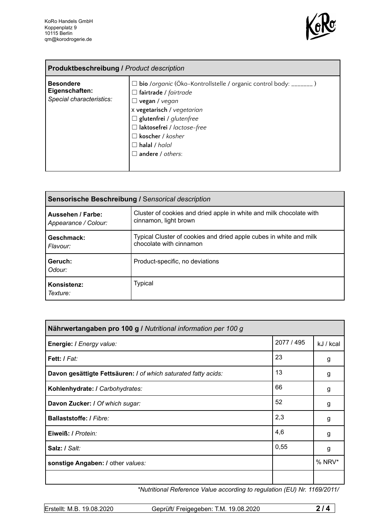

| <b>Produktbeschreibung / Product description</b>               |                                                                                                                                                                                                                                                                                              |  |
|----------------------------------------------------------------|----------------------------------------------------------------------------------------------------------------------------------------------------------------------------------------------------------------------------------------------------------------------------------------------|--|
| <b>Besondere</b><br>Eigenschaften:<br>Special characteristics: | 1 <b>bio</b> /organic (Öko-Kontrollstelle / organic control body: _______ )<br>$\Box$ fairtrade / fairtrade<br>vegan / vegan<br>x vegetarisch / vegetarian<br>$\Box$ glutenfrei / glutenfree<br>□ laktosefrei / lactose-free<br>koscher / kosher<br>$\Box$ halal / halal<br>andere / others: |  |

| <b>Sensorische Beschreibung / Sensorical description</b> |                                                                                               |  |
|----------------------------------------------------------|-----------------------------------------------------------------------------------------------|--|
| Aussehen / Farbe:<br>Appearance / Colour:                | Cluster of cookies and dried apple in white and milk chocolate with<br>cinnamon, light brown  |  |
| Geschmack:<br>Flavour:                                   | Typical Cluster of cookies and dried apple cubes in white and milk<br>chocolate with cinnamon |  |
| Geruch:<br>Odour:                                        | Product-specific, no deviations                                                               |  |
| Konsistenz:<br>Texture:                                  | Typical                                                                                       |  |

| Nährwertangaben pro 100 g / Nutritional information per 100 g  |            |           |
|----------------------------------------------------------------|------------|-----------|
| Energie: I Energy value:                                       | 2077 / 495 | kJ / kcal |
| Fett: I Fat:                                                   | 23         | g         |
| Davon gesättigte Fettsäuren: I of which saturated fatty acids: | 13         | g         |
| Kohlenhydrate: I Carbohydrates:                                | 66         | g         |
| Davon Zucker: I Of which sugar:                                | 52         | g         |
| <b>Ballaststoffe: / Fibre:</b>                                 | 2,3        | g         |
| Eiweiß: / Protein:                                             | 4,6        | g         |
| Salz: / Salt:                                                  | 0,55       | g         |
| sonstige Angaben: / other values:                              |            | $%$ NRV*  |
|                                                                |            |           |

*\*Nutritional Reference Value according to regulation (EU) Nr. 1169/2011/*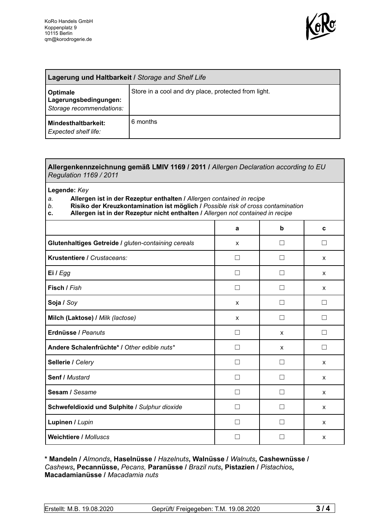

| Lagerung und Haltbarkeit / Storage and Shelf Life                    |                                                      |  |
|----------------------------------------------------------------------|------------------------------------------------------|--|
| <b>Optimale</b><br>Lagerungsbedingungen:<br>Storage recommendations: | Store in a cool and dry place, protected from light. |  |
| Mindesthaltbarkeit:<br><b>Expected shelf life:</b>                   | 6 months                                             |  |

## **Allergenkennzeichnung gemäß LMIV 1169 / 2011 /** *Allergen Declaration according to EU Regulation 1169 / 2011*

**Legende:** *Key*

- *a.* **Allergen ist in der Rezeptur enthalten /** *Allergen contained in recipe*
- *b.* **Risiko der Kreuzkontamination ist möglich /** *Possible risk of cross contamination*
- **c. Allergen ist in der Rezeptur nicht enthalten /** *Allergen not contained in recipe*

|                                                     | a            | $\mathbf b$       | C                 |
|-----------------------------------------------------|--------------|-------------------|-------------------|
| Glutenhaltiges Getreide / gluten-containing cereals | X            |                   | $\vert \ \ \vert$ |
| Krustentiere / Crustaceans:                         |              |                   | X                 |
| Ei / Egg                                            |              |                   | X                 |
| Fisch / Fish                                        | П            |                   | X                 |
| Soja / Soy                                          | $\mathsf{x}$ | $\vert \ \ \vert$ | $\Box$            |
| Milch (Laktose) / Milk (lactose)                    | $\mathsf{x}$ | П                 | П                 |
| Erdnüsse / Peanuts                                  | $\Box$       | X                 | $\Box$            |
| Andere Schalenfrüchte* / Other edible nuts*         | П            | X                 | П                 |
| Sellerie / Celery                                   |              |                   | X                 |
| Senf / Mustard                                      | П            |                   | X                 |
| Sesam / Sesame                                      | $\mathbf{I}$ | $\mathbf{I}$      | X                 |
| Schwefeldioxid und Sulphite / Sulphur dioxide       | П            |                   | X                 |
| Lupinen / Lupin                                     |              |                   | X                 |
| <b>Weichtiere / Molluscs</b>                        |              |                   | X                 |

**\* Mandeln /** *Almonds***, Haselnüsse /** *Hazelnuts***, Walnüsse /** *Walnuts***, Cashewnüsse /** *Cashews***, Pecannüsse,** *Pecans,* **Paranüsse /** *Brazil nuts***, Pistazien /** *Pistachios***, Macadamianüsse /** *Macadamia nuts*